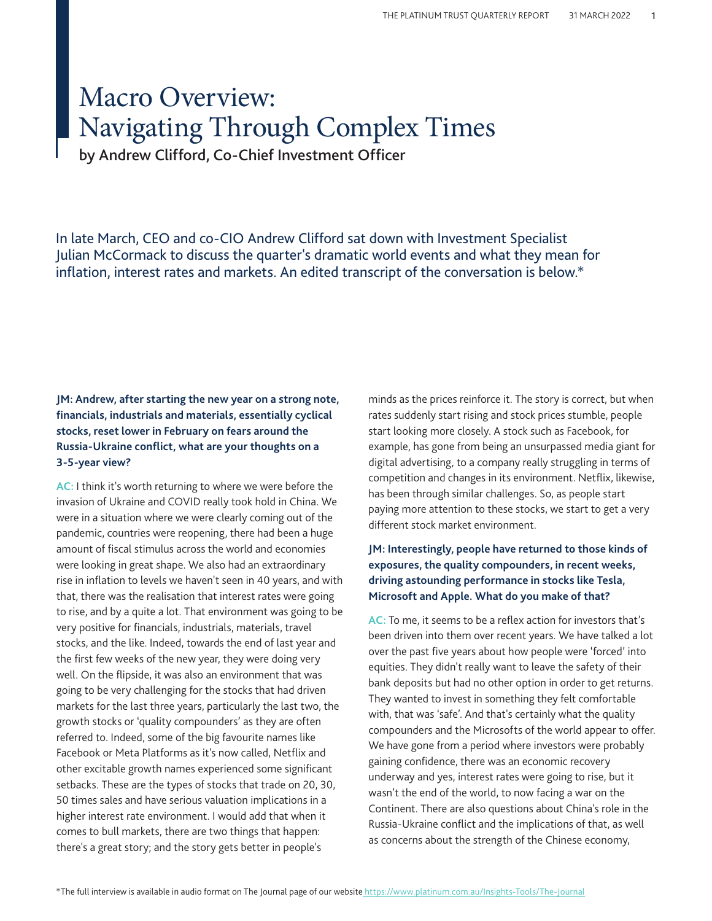# Macro Overview:<br>Navigating Through Complex Times

by Andrew Clifford, Co-Chief Investment Officer

In late March, CEO and co-CIO Andrew Clifford sat down with Investment Specialist Julian McCormack to discuss the quarter's dramatic world events and what they mean for inflation, interest rates and markets. An edited transcript of the conversation is below.\*

#### **JM: Andrew, after starting the new year on a strong note, fi nancials, industrials and materials, essentially cyclical stocks, reset lower in February on fears around the Russia-Ukraine conflict, what are your thoughts on a 3-5-year view?**

**AC:** I think it's worth returning to where we were before the invasion of Ukraine and COVID really took hold in China. We were in a situation where we were clearly coming out of the pandemic, countries were reopening, there had been a huge amount of fiscal stimulus across the world and economies were looking in great shape. We also had an extraordinary rise in inflation to levels we haven't seen in 40 years, and with that, there was the realisation that interest rates were going to rise, and by a quite a lot. That environment was going to be very positive for financials, industrials, materials, travel stocks, and the like. Indeed, towards the end of last year and the first few weeks of the new year, they were doing very well. On the flipside, it was also an environment that was going to be very challenging for the stocks that had driven markets for the last three years, particularly the last two, the growth stocks or 'quality compounders' as they are often referred to. Indeed, some of the big favourite names like Facebook or Meta Platforms as it's now called, Netflix and other excitable growth names experienced some significant setbacks. These are the types of stocks that trade on 20, 30, 50 times sales and have serious valuation implications in a higher interest rate environment. I would add that when it comes to bull markets, there are two things that happen: there's a great story; and the story gets better in people's

minds as the prices reinforce it. The story is correct, but when rates suddenly start rising and stock prices stumble, people start looking more closely. A stock such as Facebook, for example, has gone from being an unsurpassed media giant for digital advertising, to a company really struggling in terms of competition and changes in its environment. Netflix, likewise, has been through similar challenges. So, as people start paying more attention to these stocks, we start to get a very different stock market environment.

#### **JM: Interestingly, people have returned to those kinds of exposures, the quality compounders, in recent weeks, driving astounding performance in stocks like Tesla, Microsoft and Apple. What do you make of that?**

AC: To me, it seems to be a reflex action for investors that's been driven into them over recent years. We have talked a lot over the past five years about how people were 'forced' into equities. They didn't really want to leave the safety of their bank deposits but had no other option in order to get returns. They wanted to invest in something they felt comfortable with, that was 'safe'. And that's certainly what the quality compounders and the Microsofts of the world appear to offer. We have gone from a period where investors were probably gaining confidence, there was an economic recovery underway and yes, interest rates were going to rise, but it wasn't the end of the world, to now facing a war on the Continent. There are also questions about China's role in the Russia-Ukraine conflict and the implications of that, as well as concerns about the strength of the Chinese economy,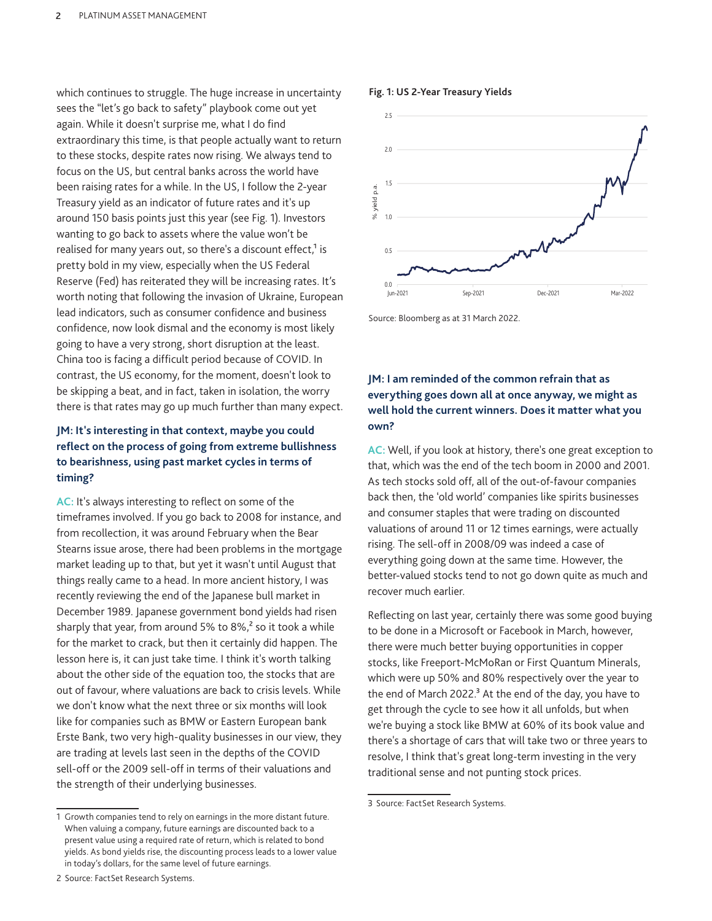which continues to struggle. The huge increase in uncertainty sees the "let's go back to safety" playbook come out yet again. While it doesn't surprise me, what I do find extraordinary this time, is that people actually want to return to these stocks, despite rates now rising. We always tend to focus on the US, but central banks across the world have been raising rates for a while. In the US, I follow the 2-year Treasury yield as an indicator of future rates and it's up around 150 basis points just this year (see Fig. 1). Investors wanting to go back to assets where the value won't be realised for many years out, so there's a discount effect,<sup>1</sup> is pretty bold in my view, especially when the US Federal Reserve (Fed) has reiterated they will be increasing rates. It's worth noting that following the invasion of Ukraine, European lead indicators, such as consumer confidence and business confidence, now look dismal and the economy is most likely going to have a very strong, short disruption at the least. China too is facing a difficult period because of COVID. In contrast, the US economy, for the moment, doesn't look to be skipping a beat, and in fact, taken in isolation, the worry there is that rates may go up much further than many expect.

### **JM: It's interesting in that context, maybe you could refl ect on the process of going from extreme bullishness to bearishness, using past market cycles in terms of timing?**

AC: It's always interesting to reflect on some of the timeframes involved. If you go back to 2008 for instance, and from recollection, it was around February when the Bear Stearns issue arose, there had been problems in the mortgage market leading up to that, but yet it wasn't until August that things really came to a head. In more ancient history, I was recently reviewing the end of the Japanese bull market in December 1989. Japanese government bond yields had risen sharply that year, from around 5% to  $8\%$ ,<sup>2</sup> so it took a while for the market to crack, but then it certainly did happen. The lesson here is, it can just take time. I think it's worth talking about the other side of the equation too, the stocks that are out of favour, where valuations are back to crisis levels. While we don't know what the next three or six months will look like for companies such as BMW or Eastern European bank Erste Bank, two very high-quality businesses in our view, they are trading at levels last seen in the depths of the COVID sell-off or the 2009 sell-off in terms of their valuations and the strength of their underlying businesses.

#### **Fig. 1: US 2-Year Treasury Yields**



Source: Bloomberg as at 31 March 2022.

#### **JM: I am reminded of the common refrain that as everything goes down all at once anyway, we might as well hold the current winners. Does it matter what you own?**

**AC:** Well, if you look at history, there's one great exception to that, which was the end of the tech boom in 2000 and 2001. As tech stocks sold off, all of the out-of-favour companies back then, the 'old world' companies like spirits businesses and consumer staples that were trading on discounted valuations of around 11 or 12 times earnings, were actually rising. The sell-off in 2008/09 was indeed a case of everything going down at the same time. However, the better-valued stocks tend to not go down quite as much and recover much earlier.

Reflecting on last year, certainly there was some good buying to be done in a Microsoft or Facebook in March, however, there were much better buying opportunities in copper stocks, like Freeport-McMoRan or First Quantum Minerals, which were up 50% and 80% respectively over the year to the end of March 2022. $3$  At the end of the day, you have to get through the cycle to see how it all unfolds, but when we're buying a stock like BMW at 60% of its book value and there's a shortage of cars that will take two or three years to resolve, I think that's great long-term investing in the very traditional sense and not punting stock prices.

<sup>1</sup> Growth companies tend to rely on earnings in the more distant future. When valuing a company, future earnings are discounted back to a present value using a required rate of return, which is related to bond yields. As bond yields rise, the discounting process leads to a lower value in today's dollars, for the same level of future earnings.

<sup>3</sup> Source: FactSet Research Systems.

<sup>2</sup> Source: FactSet Research Systems.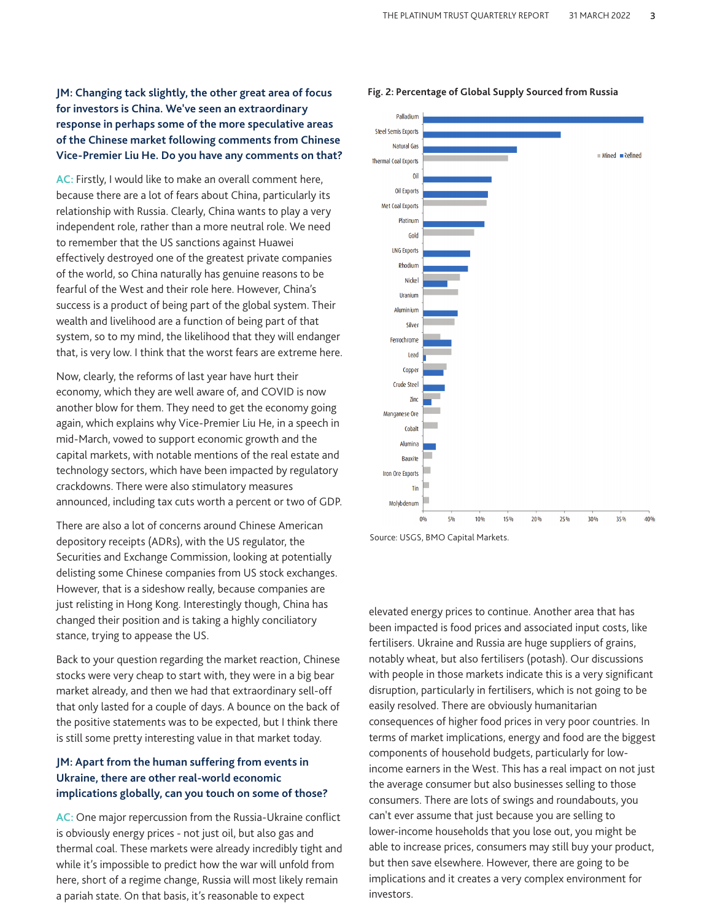#### **JM: Changing tack slightly, the other great area of focus for investors is China. We've seen an extraordinary response in perhaps some of the more speculative areas of the Chinese market following comments from Chinese Vice-Premier Liu He. Do you have any comments on that?**

**AC:** Firstly, I would like to make an overall comment here, because there are a lot of fears about China, particularly its relationship with Russia. Clearly, China wants to play a very independent role, rather than a more neutral role. We need to remember that the US sanctions against Huawei effectively destroyed one of the greatest private companies of the world, so China naturally has genuine reasons to be fearful of the West and their role here. However, China's success is a product of being part of the global system. Their wealth and livelihood are a function of being part of that system, so to my mind, the likelihood that they will endanger that, is very low. I think that the worst fears are extreme here.

Now, clearly, the reforms of last year have hurt their economy, which they are well aware of, and COVID is now another blow for them. They need to get the economy going again, which explains why Vice-Premier Liu He, in a speech in mid-March, vowed to support economic growth and the capital markets, with notable mentions of the real estate and technology sectors, which have been impacted by regulatory crackdowns. There were also stimulatory measures announced, including tax cuts worth a percent or two of GDP.

There are also a lot of concerns around Chinese American depository receipts (ADRs), with the US regulator, the Securities and Exchange Commission, looking at potentially delisting some Chinese companies from US stock exchanges. However, that is a sideshow really, because companies are just relisting in Hong Kong. Interestingly though, China has changed their position and is taking a highly conciliatory stance, trying to appease the US.

Back to your question regarding the market reaction, Chinese stocks were very cheap to start with, they were in a big bear market already, and then we had that extraordinary sell-off that only lasted for a couple of days. A bounce on the back of the positive statements was to be expected, but I think there is still some pretty interesting value in that market today.

#### **JM: Apart from the human suffering from events in Ukraine, there are other real-world economic implications globally, can you touch on some of those?**

AC: One major repercussion from the Russia-Ukraine conflict is obviously energy prices - not just oil, but also gas and thermal coal. These markets were already incredibly tight and while it's impossible to predict how the war will unfold from here, short of a regime change, Russia will most likely remain a pariah state. On that basis, it's reasonable to expect



**Fig. 2: Percentage of Global Supply Sourced from Russia**

Source: USGS, BMO Capital Markets.

elevated energy prices to continue. Another area that has been impacted is food prices and associated input costs, like fertilisers. Ukraine and Russia are huge suppliers of grains, notably wheat, but also fertilisers (potash). Our discussions with people in those markets indicate this is a very significant disruption, particularly in fertilisers, which is not going to be easily resolved. There are obviously humanitarian consequences of higher food prices in very poor countries. In terms of market implications, energy and food are the biggest components of household budgets, particularly for lowincome earners in the West. This has a real impact on not just the average consumer but also businesses selling to those consumers. There are lots of swings and roundabouts, you can't ever assume that just because you are selling to lower-income households that you lose out, you might be able to increase prices, consumers may still buy your product, but then save elsewhere. However, there are going to be implications and it creates a very complex environment for investors.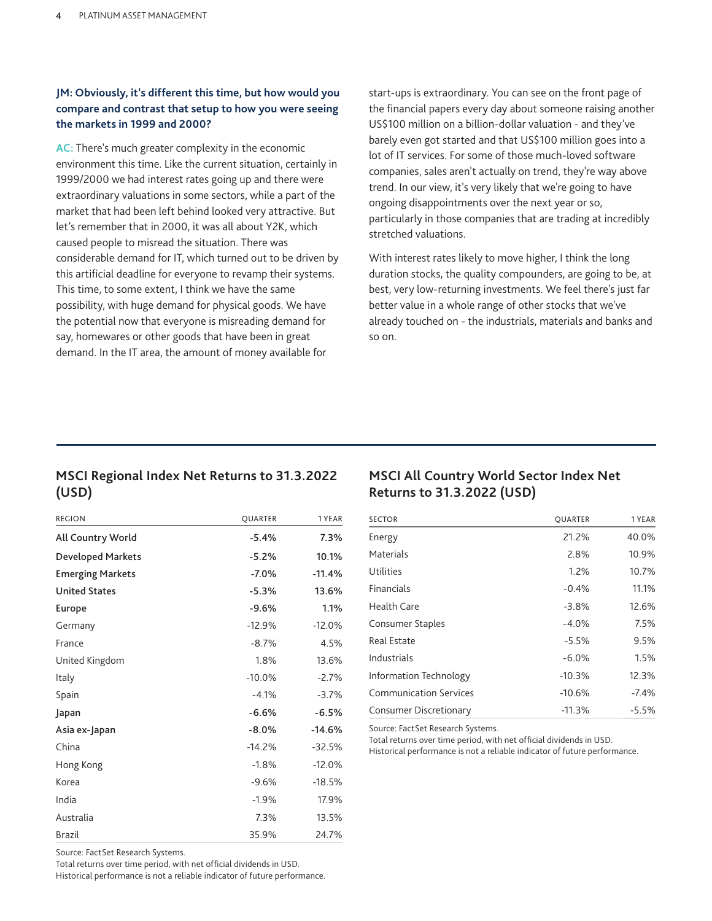#### **JM: Obviously, it's different this time, but how would you compare and contrast that setup to how you were seeing the markets in 1999 and 2000?**

**AC:** There's much greater complexity in the economic environment this time. Like the current situation, certainly in 1999/2000 we had interest rates going up and there were extraordinary valuations in some sectors, while a part of the market that had been left behind looked very attractive. But let's remember that in 2000, it was all about Y2K, which caused people to misread the situation. There was considerable demand for IT, which turned out to be driven by this artificial deadline for everyone to revamp their systems. This time, to some extent, I think we have the same possibility, with huge demand for physical goods. We have the potential now that everyone is misreading demand for say, homewares or other goods that have been in great demand. In the IT area, the amount of money available for

start-ups is extraordinary. You can see on the front page of the financial papers every day about someone raising another US\$100 million on a billion-dollar valuation - and they've barely even got started and that US\$100 million goes into a lot of IT services. For some of those much-loved software companies, sales aren't actually on trend, they're way above trend. In our view, it's very likely that we're going to have ongoing disappointments over the next year or so, particularly in those companies that are trading at incredibly stretched valuations.

With interest rates likely to move higher, I think the long duration stocks, the quality compounders, are going to be, at best, very low-returning investments. We feel there's just far better value in a whole range of other stocks that we've already touched on - the industrials, materials and banks and so on.

## **MSCI Regional Index Net Returns to 31.3.2022 (USD)**

| <b>REGION</b>            | <b>OUARTER</b> | 1 YEAR   |
|--------------------------|----------------|----------|
| All Country World        | $-5.4%$        | 7.3%     |
| <b>Developed Markets</b> | $-5.2%$        | 10.1%    |
| <b>Emerging Markets</b>  | $-7.0%$        | $-11.4%$ |
| <b>United States</b>     | $-5.3%$        | 13.6%    |
| Europe                   | $-9.6%$        | 1.1%     |
| Germany                  | $-12.9%$       | $-12.0%$ |
| France                   | $-8.7%$        | 4.5%     |
| United Kingdom           | 1.8%           | 13.6%    |
| Italy                    | $-10.0%$       | $-2.7%$  |
| Spain                    | $-4.1%$        | $-3.7%$  |
| Japan                    | $-6.6%$        | $-6.5%$  |
| Asia ex-Japan            | $-8.0%$        | $-14.6%$ |
| China                    | $-14.2%$       | $-32.5%$ |
| Hong Kong                | $-1.8%$        | $-12.0%$ |
| Korea                    | $-9.6%$        | $-18.5%$ |
| India                    | $-1.9%$        | 17.9%    |
| Australia                | 7.3%           | 13.5%    |
| Brazil                   | 35.9%          | 24.7%    |

# **MSCI All Country World Sector Index Net Returns to 31.3.2022 (USD)**

| <b>SECTOR</b>                 | <b>OUARTER</b> | 1 YEAR  |
|-------------------------------|----------------|---------|
| Energy                        | 21.2%          | 40.0%   |
| Materials                     | 2.8%           | 10.9%   |
| Utilities                     | 1.2%           | 10.7%   |
| Financials                    | $-0.4%$        | 11.1%   |
| Health Care                   | $-3.8%$        | 12.6%   |
| Consumer Staples              | $-4.0%$        | 7.5%    |
| Real Estate                   | $-5.5%$        | 9.5%    |
| Industrials                   | $-6.0%$        | 1.5%    |
| Information Technology        | $-10.3%$       | 12.3%   |
| <b>Communication Services</b> | $-10.6%$       | $-7.4%$ |
| Consumer Discretionary        | $-11.3%$       | $-5.5%$ |

Source: FactSet Research Systems.

Total returns over time period, with net official dividends in USD.

Historical performance is not a reliable indicator of future performance.

Source: FactSet Research Systems.

Total returns over time period, with net official dividends in USD.

Historical performance is not a reliable indicator of future performance.